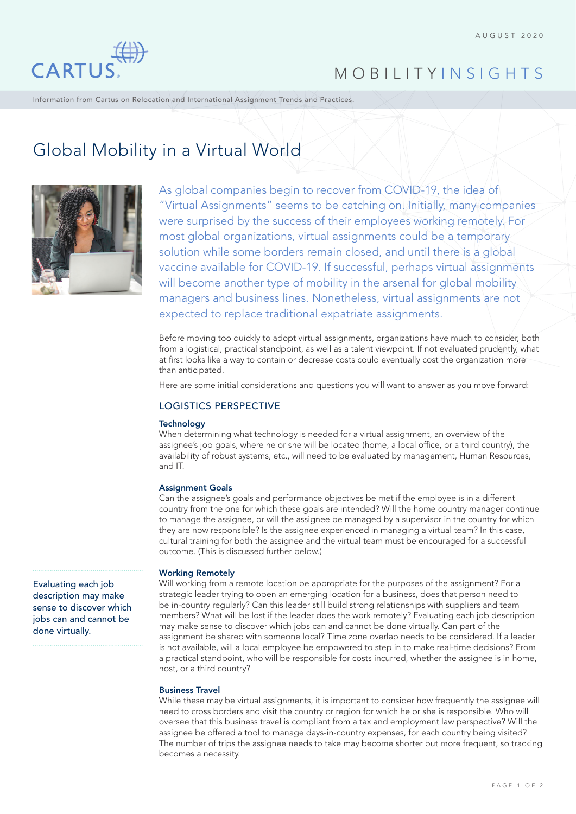

# MOBILITY INSIGHTS

Information from Cartus on Relocation and International Assignment Trends and Practices.

# Global Mobility in a Virtual World



As global companies begin to recover from COVID-19, the idea of "Virtual Assignments" seems to be catching on. Initially, many companies were surprised by the success of their employees working remotely. For most global organizations, virtual assignments could be a temporary solution while some borders remain closed, and until there is a global vaccine available for COVID-19. If successful, perhaps virtual assignments will become another type of mobility in the arsenal for global mobility managers and business lines. Nonetheless, virtual assignments are not expected to replace traditional expatriate assignments.

Before moving too quickly to adopt virtual assignments, organizations have much to consider, both from a logistical, practical standpoint, as well as a talent viewpoint. If not evaluated prudently, what at first looks like a way to contain or decrease costs could eventually cost the organization more than anticipated.

Here are some initial considerations and questions you will want to answer as you move forward:

# LOGISTICS PERSPECTIVE

# **Technology**

When determining what technology is needed for a virtual assignment, an overview of the assignee's job goals, where he or she will be located (home, a local office, or a third country), the availability of robust systems, etc., will need to be evaluated by management, Human Resources, and IT.

# Assignment Goals

Can the assignee's goals and performance objectives be met if the employee is in a different country from the one for which these goals are intended? Will the home country manager continue to manage the assignee, or will the assignee be managed by a supervisor in the country for which they are now responsible? Is the assignee experienced in managing a virtual team? In this case, cultural training for both the assignee and the virtual team must be encouraged for a successful outcome. (This is discussed further below.)

# Working Remotely

Will working from a remote location be appropriate for the purposes of the assignment? For a strategic leader trying to open an emerging location for a business, does that person need to be in-country regularly? Can this leader still build strong relationships with suppliers and team members? What will be lost if the leader does the work remotely? Evaluating each job description may make sense to discover which jobs can and cannot be done virtually. Can part of the assignment be shared with someone local? Time zone overlap needs to be considered. If a leader is not available, will a local employee be empowered to step in to make real-time decisions? From a practical standpoint, who will be responsible for costs incurred, whether the assignee is in home, host, or a third country?

# Business Travel

While these may be virtual assignments, it is important to consider how frequently the assignee will need to cross borders and visit the country or region for which he or she is responsible. Who will oversee that this business travel is compliant from a tax and employment law perspective? Will the assignee be offered a tool to manage days-in-country expenses, for each country being visited? The number of trips the assignee needs to take may become shorter but more frequent, so tracking becomes a necessity.

Evaluating each job description may make sense to discover which jobs can and cannot be done virtually.